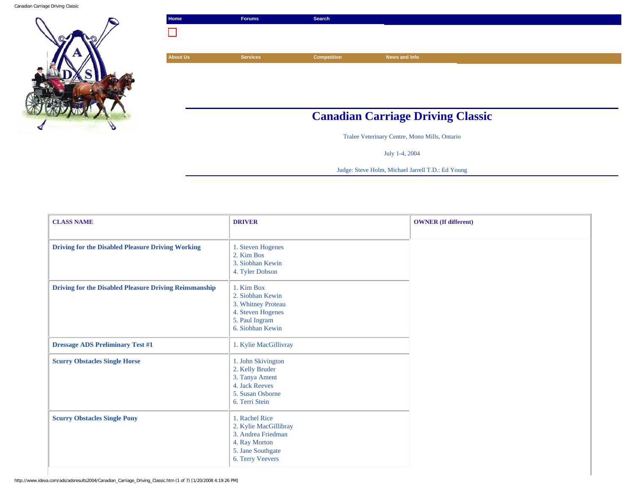Canadian Carriage Driving Classic



| Search                                   |  |
|------------------------------------------|--|
|                                          |  |
|                                          |  |
| <b>Competition</b><br>News and Info      |  |
|                                          |  |
|                                          |  |
|                                          |  |
|                                          |  |
|                                          |  |
| <b>Canadian Carriage Driving Classic</b> |  |

Tralee Veterinary Centre, Mono Mills, Ontario

July 1-4, 2004

Judge: Steve Holm, Michael Jarrell T.D.: Ed Young

| <b>CLASS NAME</b>                                             | <b>DRIVER</b>                                                                                                           | <b>OWNER</b> (If different) |
|---------------------------------------------------------------|-------------------------------------------------------------------------------------------------------------------------|-----------------------------|
| <b>Driving for the Disabled Pleasure Driving Working</b>      | 1. Steven Hogenes<br>2. Kim Bos<br>3. Siobhan Kewin<br>4. Tyler Dobson                                                  |                             |
| <b>Driving for the Disabled Pleasure Driving Reinsmanship</b> | 1. Kim Box<br>2. Siobhan Kewin<br>3. Whitney Proteau<br>4. Steven Hogenes<br>5. Paul Ingram<br>6. Siobhan Kewin         |                             |
| <b>Dressage ADS Preliminary Test #1</b>                       | 1. Kylie MacGillivray                                                                                                   |                             |
| <b>Scurry Obstacles Single Horse</b>                          | 1. John Skivington<br>2. Kelly Bruder<br>3. Tanya Ament<br>4. Jack Reeves<br>5. Susan Osborne<br>6. Terri Stein         |                             |
| <b>Scurry Obstacles Single Pony</b>                           | 1. Rachel Rice<br>2. Kylie MacGillibray<br>3. Andrea Friedman<br>4. Ray Morton<br>5. Jane Southgate<br>6. Terry Veevers |                             |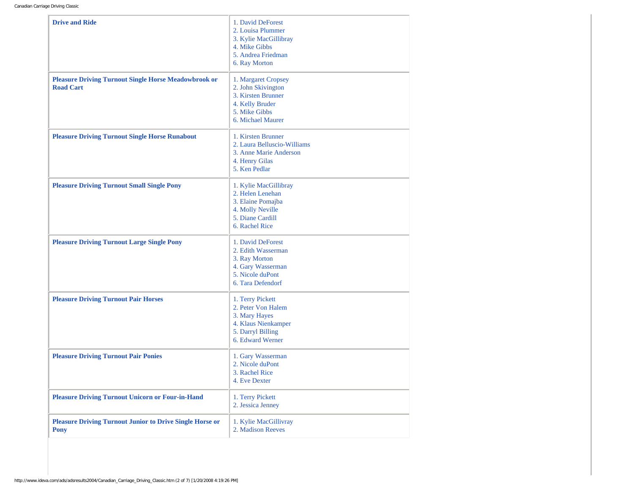Canadian Carriage Driving Classic

| <b>Drive and Ride</b>                                                           | 1. David DeForest<br>2. Louisa Plummer<br>3. Kylie MacGillibray<br>4. Mike Gibbs<br>5. Andrea Friedman<br>6. Ray Morton  |
|---------------------------------------------------------------------------------|--------------------------------------------------------------------------------------------------------------------------|
| <b>Pleasure Driving Turnout Single Horse Meadowbrook or</b><br><b>Road Cart</b> | 1. Margaret Cropsey<br>2. John Skivington<br>3. Kirsten Brunner<br>4. Kelly Bruder<br>5. Mike Gibbs<br>6. Michael Maurer |
| <b>Pleasure Driving Turnout Single Horse Runabout</b>                           | 1. Kirsten Brunner<br>2. Laura Belluscio-Williams<br>3. Anne Marie Anderson<br>4. Henry Gilas<br>5. Ken Pedlar           |
| <b>Pleasure Driving Turnout Small Single Pony</b>                               | 1. Kylie MacGillibray<br>2. Helen Lenehan<br>3. Elaine Pomajba<br>4. Molly Neville<br>5. Diane Cardill<br>6. Rachel Rice |
| <b>Pleasure Driving Turnout Large Single Pony</b>                               | 1. David DeForest<br>2. Edith Wasserman<br>3. Ray Morton<br>4. Gary Wasserman<br>5. Nicole duPont<br>6. Tara Defendorf   |
| <b>Pleasure Driving Turnout Pair Horses</b>                                     | 1. Terry Pickett<br>2. Peter Von Halem<br>3. Mary Hayes<br>4. Klaus Nienkamper<br>5. Darryl Billing<br>6. Edward Werner  |
| <b>Pleasure Driving Turnout Pair Ponies</b>                                     | 1. Gary Wasserman<br>2. Nicole duPont<br>3. Rachel Rice<br>4. Eve Dexter                                                 |
| <b>Pleasure Driving Turnout Unicorn or Four-in-Hand</b>                         | 1. Terry Pickett<br>2. Jessica Jenney                                                                                    |
| <b>Pleasure Driving Turnout Junior to Drive Single Horse or</b><br><b>Pony</b>  | 1. Kylie MacGillivray<br>2. Madison Reeves                                                                               |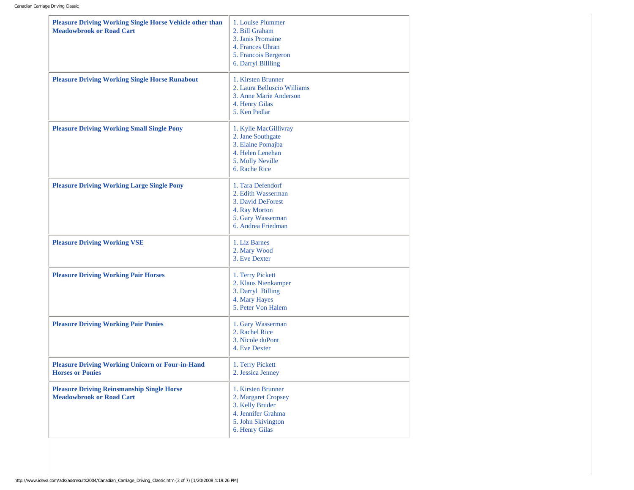| <b>Pleasure Driving Working Single Horse Vehicle other than</b><br><b>Meadowbrook or Road Cart</b> | 1. Louise Plummer<br>2. Bill Graham<br>3. Janis Promaine<br>4. Frances Uhran<br>5. Francois Bergeron<br>6. Darryl Billling |
|----------------------------------------------------------------------------------------------------|----------------------------------------------------------------------------------------------------------------------------|
| <b>Pleasure Driving Working Single Horse Runabout</b>                                              | 1. Kirsten Brunner<br>2. Laura Belluscio Williams<br>3. Anne Marie Anderson<br>4. Henry Gilas<br>5. Ken Pedlar             |
| <b>Pleasure Driving Working Small Single Pony</b>                                                  | 1. Kylie MacGillivray<br>2. Jane Southgate<br>3. Elaine Pomajba<br>4. Helen Lenehan<br>5. Molly Neville<br>6. Rache Rice   |
| <b>Pleasure Driving Working Large Single Pony</b>                                                  | 1. Tara Defendorf<br>2. Edith Wasserman<br>3. David DeForest<br>4. Ray Morton<br>5. Gary Wasserman<br>6. Andrea Friedman   |
| <b>Pleasure Driving Working VSE</b>                                                                | 1. Liz Barnes<br>2. Mary Wood<br>3. Eve Dexter                                                                             |
| <b>Pleasure Driving Working Pair Horses</b>                                                        | 1. Terry Pickett<br>2. Klaus Nienkamper<br>3. Darryl Billing<br>4. Mary Hayes<br>5. Peter Von Halem                        |
| <b>Pleasure Driving Working Pair Ponies</b>                                                        | 1. Gary Wasserman<br>2. Rachel Rice<br>3. Nicole duPont<br>4. Eve Dexter                                                   |
| <b>Pleasure Driving Working Unicorn or Four-in-Hand</b><br><b>Horses or Ponies</b>                 | 1. Terry Pickett<br>2. Jessica Jenney                                                                                      |
| <b>Pleasure Driving Reinsmanship Single Horse</b><br><b>Meadowbrook or Road Cart</b>               | 1. Kirsten Brunner<br>2. Margaret Cropsey<br>3. Kelly Bruder<br>4. Jennifer Grahma<br>5. John Skivington<br>6. Henry Gilas |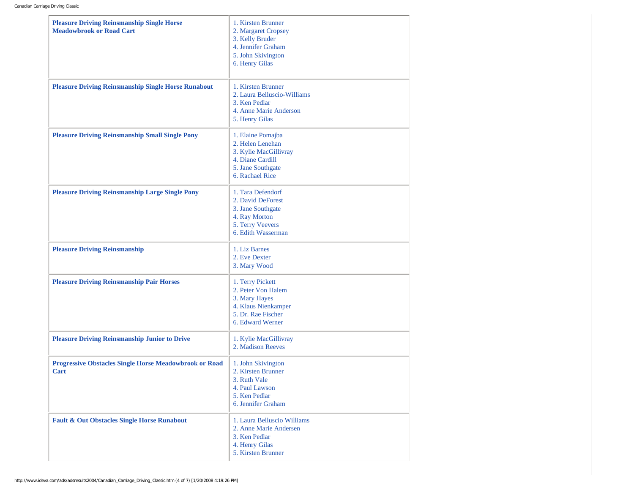| <b>Pleasure Driving Reinsmanship Single Horse</b><br><b>Meadowbrook or Road Cart</b> | 1. Kirsten Brunner<br>2. Margaret Cropsey<br>3. Kelly Bruder<br>4. Jennifer Graham<br>5. John Skivington<br>6. Henry Gilas |
|--------------------------------------------------------------------------------------|----------------------------------------------------------------------------------------------------------------------------|
| <b>Pleasure Driving Reinsmanship Single Horse Runabout</b>                           | 1. Kirsten Brunner<br>2. Laura Belluscio-Williams<br>3. Ken Pedlar<br>4. Anne Marie Anderson<br>5. Henry Gilas             |
| <b>Pleasure Driving Reinsmanship Small Single Pony</b>                               | 1. Elaine Pomajba<br>2. Helen Lenehan<br>3. Kylie MacGillivray<br>4. Diane Cardill<br>5. Jane Southgate<br>6. Rachael Rice |
| <b>Pleasure Driving Reinsmanship Large Single Pony</b>                               | 1. Tara Defendorf<br>2. David DeForest<br>3. Jane Southgate<br>4. Ray Morton<br>5. Terry Veevers<br>6. Edith Wasserman     |
| <b>Pleasure Driving Reinsmanship</b>                                                 | 1. Liz Barnes<br>2. Eve Dexter<br>3. Mary Wood                                                                             |
| <b>Pleasure Driving Reinsmanship Pair Horses</b>                                     | 1. Terry Pickett<br>2. Peter Von Halem<br>3. Mary Hayes<br>4. Klaus Nienkamper<br>5. Dr. Rae Fischer<br>6. Edward Werner   |
| <b>Pleasure Driving Reinsmanship Junior to Drive</b>                                 | 1. Kylie MacGillivray<br>2. Madison Reeves                                                                                 |
| <b>Progressive Obstacles Single Horse Meadowbrook or Road</b><br>Cart                | 1. John Skivington<br>2. Kirsten Brunner<br>3. Ruth Vale<br>4. Paul Lawson<br>5. Ken Pedlar<br>6. Jennifer Graham          |
| <b>Fault &amp; Out Obstacles Single Horse Runabout</b>                               | 1. Laura Belluscio Williams<br>2. Anne Marie Andersen<br>3. Ken Pedlar<br>4. Henry Gilas<br>5. Kirsten Brunner             |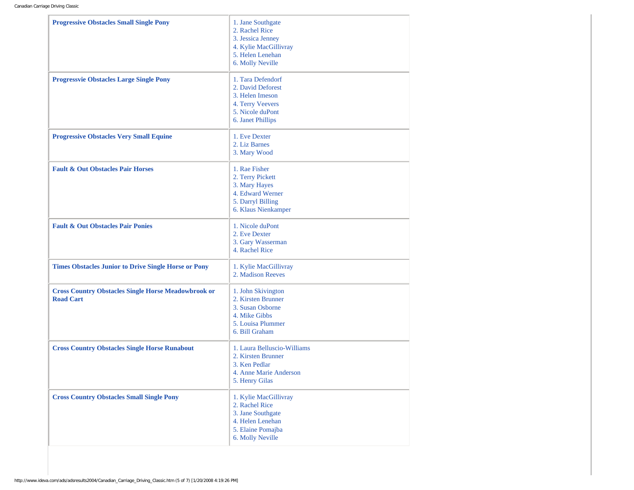| <b>Progressive Obstacles Small Single Pony</b>                                 | 1. Jane Southgate<br>2. Rachel Rice<br>3. Jessica Jenney<br>4. Kylie MacGillivray<br>5. Helen Lenehan<br>6. Molly Neville |
|--------------------------------------------------------------------------------|---------------------------------------------------------------------------------------------------------------------------|
| <b>Progressvie Obstacles Large Single Pony</b>                                 | 1. Tara Defendorf<br>2. David Deforest<br>3. Helen Imeson<br>4. Terry Veevers<br>5. Nicole duPont<br>6. Janet Phillips    |
| <b>Progressive Obstacles Very Small Equine</b>                                 | 1. Eve Dexter<br>2. Liz Barnes<br>3. Mary Wood                                                                            |
| <b>Fault &amp; Out Obstacles Pair Horses</b>                                   | 1. Rae Fisher<br>2. Terry Pickett<br>3. Mary Hayes<br>4. Edward Werner<br>5. Darryl Billing<br>6. Klaus Nienkamper        |
| <b>Fault &amp; Out Obstacles Pair Ponies</b>                                   | 1. Nicole duPont<br>2. Eve Dexter<br>3. Gary Wasserman<br>4. Rachel Rice                                                  |
| <b>Times Obstacles Junior to Drive Single Horse or Pony</b>                    | 1. Kylie MacGillivray<br>2. Madison Reeves                                                                                |
| <b>Cross Country Obstacles Single Horse Meadowbrook or</b><br><b>Road Cart</b> | 1. John Skivington<br>2. Kirsten Brunner<br>3. Susan Osborne<br>4. Mike Gibbs<br>5. Louisa Plummer<br>6. Bill Graham      |
| <b>Cross Country Obstacles Single Horse Runabout</b>                           | 1. Laura Belluscio-Williams<br>2. Kirsten Brunner<br>3. Ken Pedlar<br>4. Anne Marie Anderson<br>5. Henry Gilas            |
| <b>Cross Country Obstacles Small Single Pony</b>                               | 1. Kylie MacGillivray<br>2. Rachel Rice<br>3. Jane Southgate<br>4. Helen Lenehan<br>5. Elaine Pomajba<br>6. Molly Neville |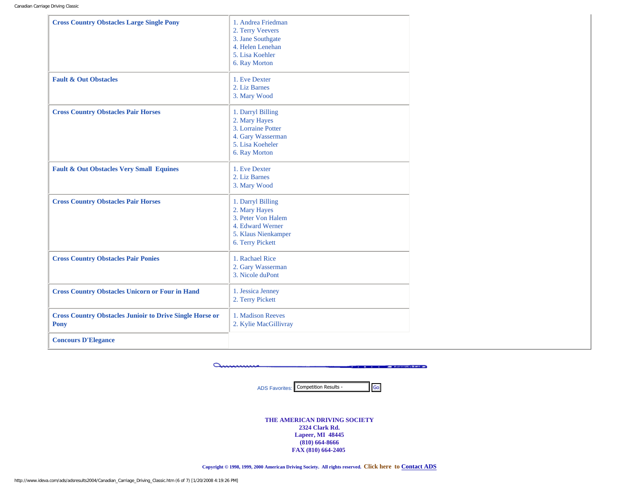| <b>Cross Country Obstacles Large Single Pony</b>                        | 1. Andrea Friedman<br>2. Terry Veevers<br>3. Jane Southgate<br>4. Helen Lenehan<br>5. Lisa Koehler<br>6. Ray Morton     |
|-------------------------------------------------------------------------|-------------------------------------------------------------------------------------------------------------------------|
| <b>Fault &amp; Out Obstacles</b>                                        | 1. Eve Dexter<br>2. Liz Barnes<br>3. Mary Wood                                                                          |
| <b>Cross Country Obstacles Pair Horses</b>                              | 1. Darryl Billing<br>2. Mary Hayes<br>3. Lorraine Potter<br>4. Gary Wasserman<br>5. Lisa Koeheler<br>6. Ray Morton      |
| <b>Fault &amp; Out Obstacles Very Small Equines</b>                     | 1. Eve Dexter<br>2. Liz Barnes<br>3. Mary Wood                                                                          |
| <b>Cross Country Obstacles Pair Horses</b>                              | 1. Darryl Billing<br>2. Mary Hayes<br>3. Peter Von Halem<br>4. Edward Werner<br>5. Klaus Nienkamper<br>6. Terry Pickett |
| <b>Cross Country Obstacles Pair Ponies</b>                              | 1. Rachael Rice<br>2. Gary Wasserman<br>3. Nicole duPont                                                                |
| <b>Cross Country Obstacles Unicorn or Four in Hand</b>                  | 1. Jessica Jenney<br>2. Terry Pickett                                                                                   |
| <b>Cross Country Obstacles Junioir to Drive Single Horse or</b><br>Pony | 1. Madison Reeves<br>2. Kylie MacGillivray                                                                              |
| <b>Concours D'Elegance</b>                                              |                                                                                                                         |

ammin **CONTRACTOR** CONTRACTOR OF BUILDING

ADS Favorites: Competition Results -

**THE AMERICAN DRIVING SOCIETY 2324 Clark Rd. Lapeer, MI 48445 (810) 664-8666 FAX (810) 664-2405** 

**Copyright © 1998, 1999, 2000 American Driving Society. All rights reserved. Click here to [Contact ADS](mailto:info@americandrivingsociety.org)**